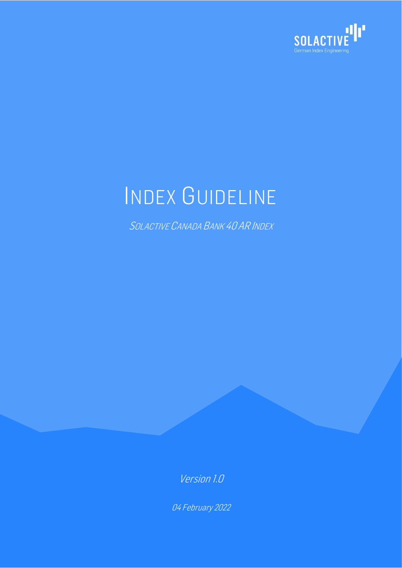

# INDEX GUIDELINE

SOLACTIVE CANADA BANK 40 AR INDEX

Version 1.0

04 February 2022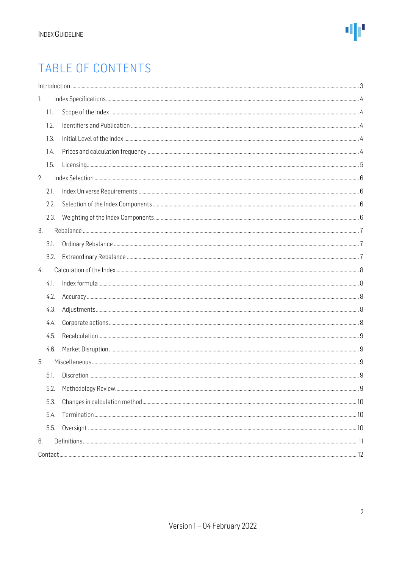### TABLE OF CONTENTS

| 1. |      |  |
|----|------|--|
|    | 1.1. |  |
|    | 1.2. |  |
|    | 1.3. |  |
|    | 1.4. |  |
|    | 1.5. |  |
| 2. |      |  |
|    | 2.1. |  |
|    | 2.2. |  |
|    | 2.3. |  |
| 3. |      |  |
|    | 3.1. |  |
|    | 3.2. |  |
| 4. |      |  |
|    | 4.1. |  |
|    | 4.2. |  |
|    | 4.3. |  |
|    | 4.4. |  |
|    | 4.5. |  |
|    | 4.6. |  |
| 5. |      |  |
|    | 5.1. |  |
|    | 5.2. |  |
|    | 5.3. |  |
|    | 5.4. |  |
|    | 5.5. |  |
| 6. |      |  |
|    |      |  |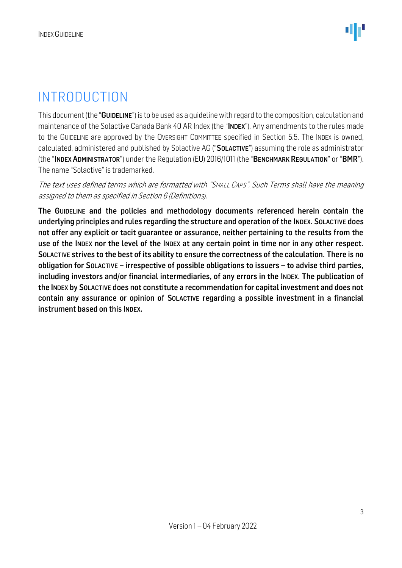### <span id="page-2-0"></span>INTRODUCTION

This document (the "GUIDELINE") is to be used as a guidelinewith regard to the composition, calculation and maintenance of the Solactive Canada Bank 40 AR Index (the "INDEX"). Any amendments to the rules made to the GUIDELINE are approved by the OVERSIGHT COMMITTEE specified in Section 5.5. The INDEX is owned, calculated, administered and published by Solactive AG ("SOLACTIVE") assuming the role as administrator (the "INDEX ADMINISTRATOR") under the Regulation (EU) 2016/1011 (the "BENCHMARK REGULATION" or "BMR"). The name "Solactive" is trademarked.

#### The text uses defined terms which are formatted with "SMALL CAPS". Such Terms shall have the meaning assigned to them as specified in Section 6 (Definitions).

The GUIDELINE and the policies and methodology documents referenced herein contain the underlying principles and rules regarding the structure and operation of the INDEX. SOLACTIVE does not offer any explicit or tacit guarantee or assurance, neither pertaining to the results from the use of the INDEX nor the level of the INDEX at any certain point in time nor in any other respect. SOLACTIVE strives to the best of its ability to ensure the correctness of the calculation. There is no obligation for SOLACTIVE – irrespective of possible obligations to issuers – to advise third parties, including investors and/or financial intermediaries, of any errors in the INDEX. The publication of the INDEX by SOLACTIVE does not constitute a recommendation for capital investment and does not contain any assurance or opinion of SOLACTIVE regarding a possible investment in a financial instrument based on this INDEX.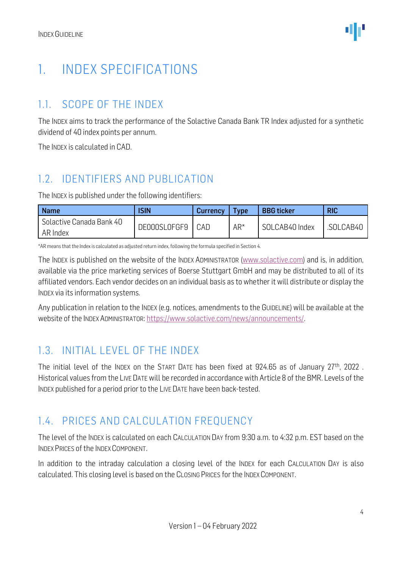### <span id="page-3-0"></span>1. INDEX SPECIFICATIONS

### <span id="page-3-1"></span>1.1. SCOPE OF THE INDEX

The INDEX aims to track the performance of the Solactive Canada Bank TR Index adjusted for a synthetic dividend of 40 index points per annum.

The INDEX is calculated in CAD.

### <span id="page-3-2"></span>1.2. IDENTIFIERS AND PUBLICATION

The INDEX is published under the following identifiers:

| <b>Name</b>                          | <b>ISIN</b>  | <b>Currency</b> | <b>Type</b> | <b>BBG</b> ticker | <b>RIC</b> |
|--------------------------------------|--------------|-----------------|-------------|-------------------|------------|
| Solactive Canada Bank 40<br>AR Index | DE000SL0FGF9 | CAD             | $AR^*$      | SOLCAB40 Index    | .SOLCAB4C  |

\*AR means that the Index is calculated as adjusted return index, following the formula specified in Section 4.

The INDEX is published on the website of the INDEX ADMINISTRATOR [\(www.solactive.com\)](http://www.solactive.com/) and is, in addition, available via the price marketing services of Boerse Stuttgart GmbH and may be distributed to all of its affiliated vendors. Each vendor decides on an individual basis as to whether it will distribute or display the INDEX via its information systems.

Any publication in relation to the INDEX (e.g. notices, amendments to the GUIDELINE) will be available at the website of the INDEX ADMINISTRATOR: [https://www.solactive.com/news/announcements/.](https://www.solactive.com/news/announcements/)

### <span id="page-3-3"></span>1.3. INITIAL LEVEL OF THE INDEX

The initial level of the INDEX on the START DATE has been fixed at 924.65 as of January 27th, 2022 . Historical values from the LIVE DATE will be recorded in accordance with Article 8 of the BMR. Levels of the INDEX published for a period prior to the LIVE DATE have been back-tested.

### <span id="page-3-4"></span>1.4. PRICES AND CALCULATION FREQUENCY

The level of the INDEX is calculated on each CALCULATION DAY from 9:30 a.m. to 4:32 p.m. EST based on the INDEX PRICES of the INDEX COMPONENT.

In addition to the intraday calculation a closing level of the INDEX for each CALCULATION DAY is also calculated. This closing level is based on the CLOSING PRICES for the INDEX COMPONENT.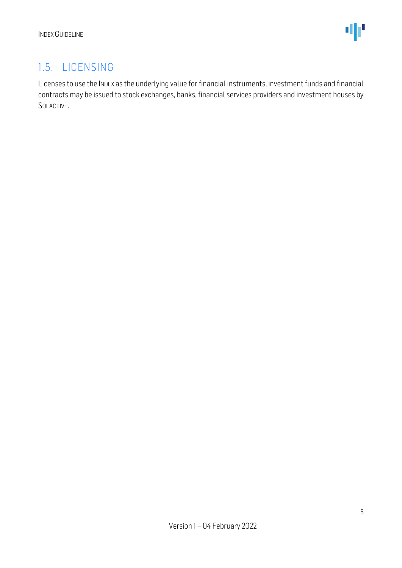### <span id="page-4-0"></span>1.5. LICENSING

Licenses to use the INDEX as the underlying value for financial instruments, investment funds and financial contracts may be issued to stock exchanges, banks, financial services providers and investment houses by SOLACTIVE.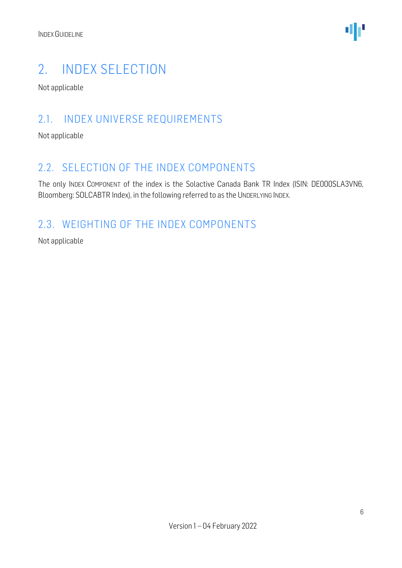

### <span id="page-5-0"></span>2. INDEX SELECTION

Not applicable

#### <span id="page-5-1"></span>2.1. INDEX UNIVERSE REQUIREMENTS

Not applicable

#### <span id="page-5-2"></span>2.2. SELECTION OF THE INDEX COMPONENTS

The only INDEX COMPONENT of the index is the Solactive Canada Bank TR Index (ISIN: DE000SLA3VN6, Bloomberg: SOLCABTR Index), in the following referred to as the UNDERLYING INDEX.

### <span id="page-5-3"></span>2.3. WEIGHTING OF THE INDEX COMPONENTS

Not applicable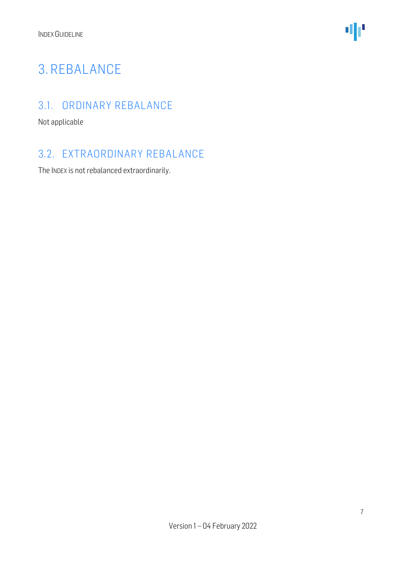

### <span id="page-6-0"></span>3. REBALANCE

### <span id="page-6-1"></span>3.1. ORDINARY REBALANCE

Not applicable

### <span id="page-6-2"></span>3.2. EXTRAORDINARY REBALANCE

The INDEX is not rebalanced extraordinarily.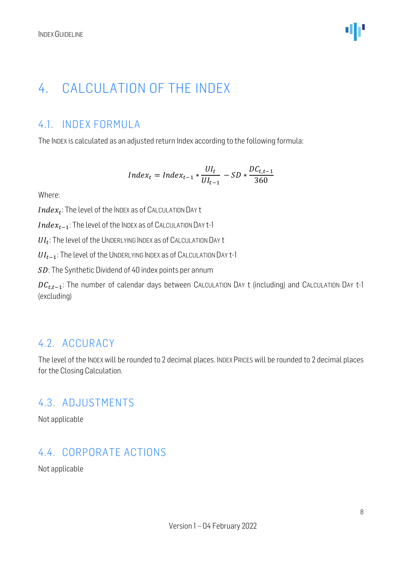### <span id="page-7-0"></span>4. CALCULATION OF THE INDEX

### <span id="page-7-1"></span>4.1. INDEX FORMULA

The INDEX is calculated as an adjusted return Index according to the following formula:

$$
Index_t = Index_{t-1} * \frac{UI_t}{UI_{t-1}} - SD * \frac{DC_{t,t-1}}{360}
$$

Where:

 $Index_t$ : The level of the Index as of Calculation Day t

 $Index_{t-1}$ : The level of the INDEX as of CALCULATION DAY t-1

 $UI_{t}$ : The level of the UNDERLYING INDEX as of CALCULATION DAY t

 $UI_{t-1}$ : The level of the UNDERLYING INDEX as of CALCULATION DAY t-1

SD: The Synthetic Dividend of 40 index points per annum

 $DC_{t,t-1}$ : The number of calendar days between CALCULATION DAY t (including) and CALCULATION DAY t-1 (excluding)

#### <span id="page-7-2"></span>4.2. ACCURACY

The level of the INDEX will be rounded to 2 decimal places. INDEX PRICES will be rounded to 2 decimal places for the Closing Calculation.

#### <span id="page-7-3"></span>4.3. ADJUSTMENTS

Not applicable

#### <span id="page-7-4"></span>4.4. CORPORATE ACTIONS

Not applicable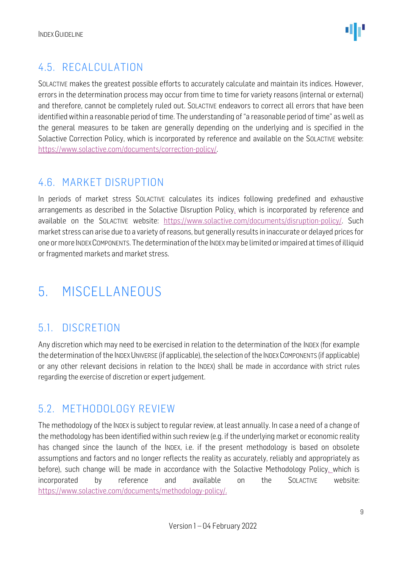### <span id="page-8-0"></span>4.5. RECALCULATION

SOLACTIVE makes the greatest possible efforts to accurately calculate and maintain its indices. However, errors in the determination process may occur from time to time for variety reasons (internal or external) and therefore, cannot be completely ruled out. SOLACTIVE endeavors to correct all errors that have been identified within a reasonable period of time. The understanding of "a reasonable period of time" as well as the general measures to be taken are generally depending on the underlying and is specified in the Solactive Correction Policy, which is incorporated by reference and available on the SOLACTIVE website: [https://www.solactive.com/documents/correction-policy/.](https://www.solactive.com/documents/correction-policy/)

### <span id="page-8-1"></span>4.6. MARKET DISRUPTION

In periods of market stress SOLACTIVE calculates its indices following predefined and exhaustive arrangements as described in the Solactive Disruption Policy, which is incorporated by reference and available on the SOLACTIVE website: [https://www.solactive.com/documents/disruption-policy/.](https://www.solactive.com/documents/disruption-policy/) Such market stress can arise due to a variety of reasons, but generally results in inaccurate or delayed prices for one or more INDEXCOMPONENTS. The determination of the INDEXmay be limited or impaired at times of illiquid or fragmented markets and market stress.

### <span id="page-8-2"></span>5. MISCELLANEOUS

### <span id="page-8-3"></span>5.1. DISCRETION

Any discretion which may need to be exercised in relation to the determination of the INDEX (for example the determination of the INDEX UNIVERSE (if applicable), the selection of the INDEX COMPONENTS (if applicable) or any other relevant decisions in relation to the INDEX) shall be made in accordance with strict rules regarding the exercise of discretion or expert judgement.

### <span id="page-8-4"></span>5.2. METHODOLOGY REVIEW

The methodology of the INDEX is subject to regular review, at least annually. In case a need of a change of the methodology has been identified within such review (e.g. if the underlying market or economic reality has changed since the launch of the INDEX, i.e. if the present methodology is based on obsolete assumptions and factors and no longer reflects the reality as accurately, reliably and appropriately as before), such change will be made in accordance with the Solactive Methodology Policy, which is incorporated by reference and available on the SOLACTIVE website: [https://www.solactive.com/documents/methodology-policy/.](https://www.solactive.com/documents/methodology-policy/)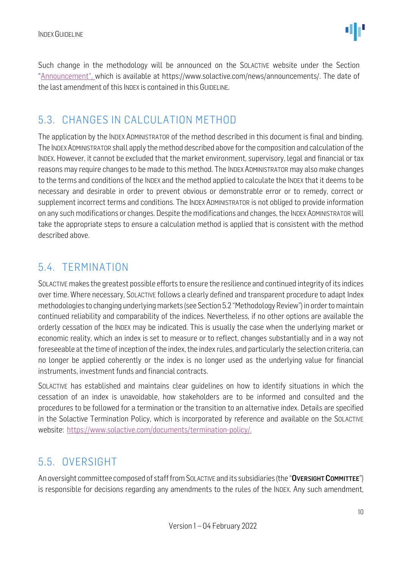Such change in the methodology will be announced on the SOLACTIVE website under the Section "Announcement", which is available at https://www.solactive.com/news/announcements/. The date of the last amendment of this INDEX is contained in this GUIDELINE.

### <span id="page-9-0"></span>5.3. CHANGES IN CALCULATION METHOD

The application by the INDEX ADMINISTRATOR of the method described in this document is final and binding. The INDEXADMINISTRATOR shall apply the method described above for the composition and calculation of the INDEX. However, it cannot be excluded that the market environment, supervisory, legal and financial or tax reasons may require changes to be made to this method. The INDEX ADMINISTRATOR may also make changes to the terms and conditions of the INDEX and the method applied to calculate the INDEX that it deems to be necessary and desirable in order to prevent obvious or demonstrable error or to remedy, correct or supplement incorrect terms and conditions. The INDEX ADMINISTRATOR is not obliged to provide information on any such modifications or changes. Despite the modifications and changes, the INDEX ADMINISTRATOR will take the appropriate steps to ensure a calculation method is applied that is consistent with the method described above.

### <span id="page-9-1"></span>5.4. TERMINATION

SOLACTIVE makes the greatest possible efforts to ensure the resilience and continued integrity of its indices over time. Where necessary, SOLACTIVE follows a clearly defined and transparent procedure to adapt Index methodologies to changing underlying markets (see Section 5.2 "Methodology Review") in order to maintain continued reliability and comparability of the indices. Nevertheless, if no other options are available the orderly cessation of the INDEX may be indicated. This is usually the case when the underlying market or economic reality, which an index is set to measure or to reflect, changes substantially and in a way not foreseeable at the time of inception of the index, the index rules, and particularly the selection criteria, can no longer be applied coherently or the index is no longer used as the underlying value for financial instruments, investment funds and financial contracts.

SOLACTIVE has established and maintains clear guidelines on how to identify situations in which the cessation of an index is unavoidable, how stakeholders are to be informed and consulted and the procedures to be followed for a termination or the transition to an alternative index. Details are specified in the Solactive Termination Policy, which is incorporated by reference and available on the SOLACTIVE website: [https://www.solactive.com/documents/termination-policy/.](https://www.solactive.com/documents/termination-policy/)

### <span id="page-9-2"></span>5.5. OVERSIGHT

An oversight committee composed of staff from SOLACTIVE and its subsidiaries (the "OVERSIGHT COMMITTEE") is responsible for decisions regarding any amendments to the rules of the INDEX. Any such amendment,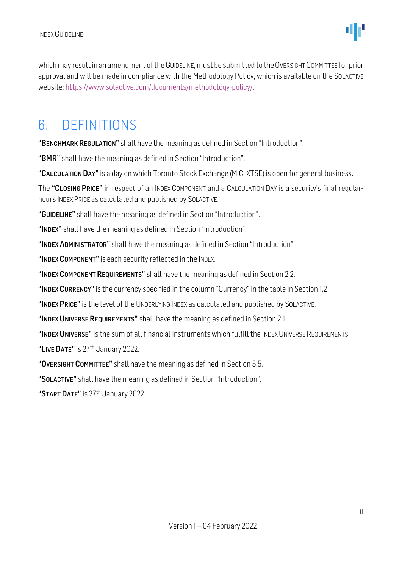which may result in an amendment of the GUIDELINE, must be submitted to the OVERSIGHT COMMITTEE for prior approval and will be made in compliance with the [Methodology](http://methodology/) Policy, which is available on the SOLACTIVE website: [https://www.solactive.com/documents/methodology-policy/.](https://www.solactive.com/documents/methodology-policy/)

### <span id="page-10-0"></span>6. DEFINITIONS

"BENCHMARK REGULATION" shall have the meaning as defined in Section "Introduction".

"BMR" shall have the meaning as defined in Section "Introduction".

"CALCULATION DAY" is a day on which Toronto Stock Exchange (MIC: XTSE) is open for general business.

The "CLOSING PRICE" in respect of an INDEX COMPONENT and a CALCULATION DAY is a security's final regularhours INDEX PRICE as calculated and published by SOLACTIVE.

"GUIDELINE" shall have the meaning as defined in Section "Introduction".

"INDEX" shall have the meaning as defined in Section "Introduction".

"INDEX ADMINISTRATOR" shall have the meaning as defined in Section "Introduction".

"INDEX COMPONENT" is each security reflected in the INDEX.

"INDEX COMPONENT REQUIREMENTS" shall have the meaning as defined in Section 2.2.

"INDEX CURRENCY" is the currency specified in the column "Currency" in the table in Section 1.2.

"INDEX PRICE" is the level of the UNDERLYING INDEX as calculated and published by SOLACTIVE.

"INDEX UNIVERSE REQUIREMENTS" shall have the meaning as defined in Section 2.1.

"INDEX UNIVERSE" is the sum of all financial instruments which fulfill the INDEX UNIVERSE REQUIREMENTS.

"LIVE DATE" is 27<sup>th</sup> January 2022.

"OVERSIGHT COMMITTEE" shall have the meaning as defined in Section 5.5.

"SOLACTIVE" shall have the meaning as defined in Section "Introduction".

"START DATE" is 27<sup>th</sup> January 2022.